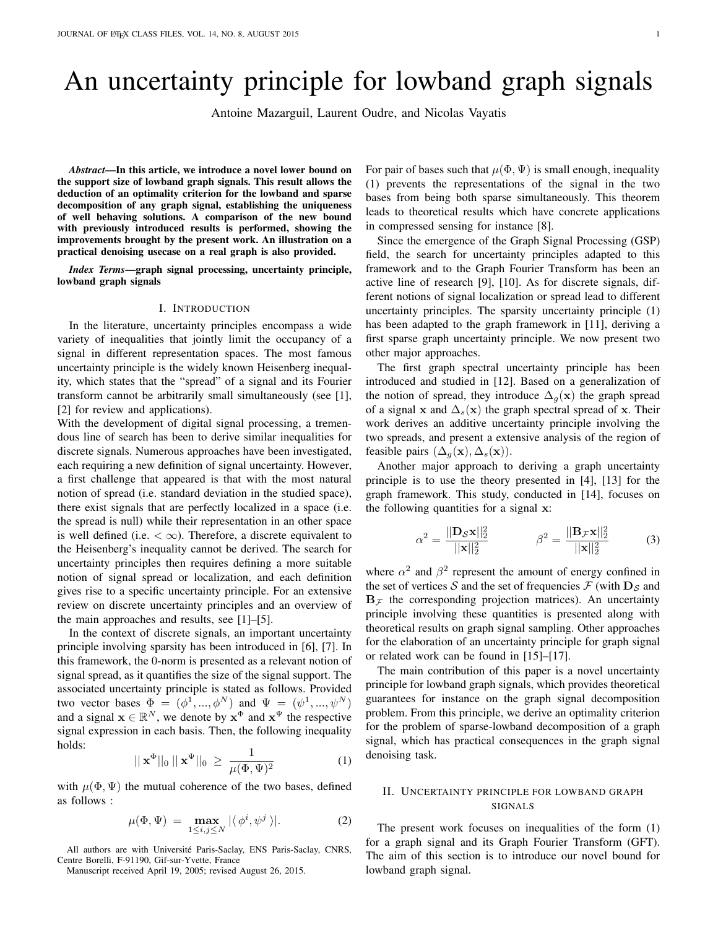# An uncertainty principle for lowband graph signals

Antoine Mazarguil, Laurent Oudre, and Nicolas Vayatis

*Abstract*—In this article, we introduce a novel lower bound on the support size of lowband graph signals. This result allows the deduction of an optimality criterion for the lowband and sparse decomposition of any graph signal, establishing the uniqueness of well behaving solutions. A comparison of the new bound with previously introduced results is performed, showing the improvements brought by the present work. An illustration on a practical denoising usecase on a real graph is also provided.

*Index Terms*—graph signal processing, uncertainty principle, lowband graph signals

#### I. INTRODUCTION

In the literature, uncertainty principles encompass a wide variety of inequalities that jointly limit the occupancy of a signal in different representation spaces. The most famous uncertainty principle is the widely known Heisenberg inequality, which states that the "spread" of a signal and its Fourier transform cannot be arbitrarily small simultaneously (see [1], [2] for review and applications).

With the development of digital signal processing, a tremendous line of search has been to derive similar inequalities for discrete signals. Numerous approaches have been investigated, each requiring a new definition of signal uncertainty. However, a first challenge that appeared is that with the most natural notion of spread (i.e. standard deviation in the studied space), there exist signals that are perfectly localized in a space (i.e. the spread is null) while their representation in an other space is well defined (i.e.  $< \infty$ ). Therefore, a discrete equivalent to the Heisenberg's inequality cannot be derived. The search for uncertainty principles then requires defining a more suitable notion of signal spread or localization, and each definition gives rise to a specific uncertainty principle. For an extensive review on discrete uncertainty principles and an overview of the main approaches and results, see [1]–[5].

In the context of discrete signals, an important uncertainty principle involving sparsity has been introduced in [6], [7]. In this framework, the 0-norm is presented as a relevant notion of signal spread, as it quantifies the size of the signal support. The associated uncertainty principle is stated as follows. Provided two vector bases  $\Phi = (\phi^1, ..., \phi^N)$  and  $\Psi = (\psi^1, ..., \psi^N)$ and a signal  $\mathbf{x} \in \mathbb{R}^N$ , we denote by  $\mathbf{x}^{\Phi}$  and  $\mathbf{x}^{\Psi}$  the respective signal expression in each basis. Then, the following inequality holds:

$$
||\mathbf{x}^{\Phi}||_0 \, ||\mathbf{x}^{\Psi}||_0 \, \geq \, \frac{1}{\mu(\Phi, \Psi)^2} \tag{1}
$$

with  $\mu(\Phi, \Psi)$  the mutual coherence of the two bases, defined as follows :

$$
\mu(\Phi, \Psi) = \max_{1 \le i, j \le N} |\langle \phi^i, \psi^j \rangle|.
$$
 (2)

All authors are with Université Paris-Saclay, ENS Paris-Saclay, CNRS, Centre Borelli, F-91190, Gif-sur-Yvette, France

Manuscript received April 19, 2005; revised August 26, 2015.

For pair of bases such that  $\mu(\Phi, \Psi)$  is small enough, inequality (1) prevents the representations of the signal in the two bases from being both sparse simultaneously. This theorem leads to theoretical results which have concrete applications in compressed sensing for instance [8].

Since the emergence of the Graph Signal Processing (GSP) field, the search for uncertainty principles adapted to this framework and to the Graph Fourier Transform has been an active line of research [9], [10]. As for discrete signals, different notions of signal localization or spread lead to different uncertainty principles. The sparsity uncertainty principle (1) has been adapted to the graph framework in [11], deriving a first sparse graph uncertainty principle. We now present two other major approaches.

The first graph spectral uncertainty principle has been introduced and studied in [12]. Based on a generalization of the notion of spread, they introduce  $\Delta_q(\mathbf{x})$  the graph spread of a signal x and  $\Delta_s(x)$  the graph spectral spread of x. Their work derives an additive uncertainty principle involving the two spreads, and present a extensive analysis of the region of feasible pairs  $(\Delta_a(\mathbf{x}), \Delta_s(\mathbf{x}))$ .

Another major approach to deriving a graph uncertainty principle is to use the theory presented in [4], [13] for the graph framework. This study, conducted in [14], focuses on the following quantities for a signal x:

$$
\alpha^2 = \frac{||\mathbf{D}_{\mathcal{S}}\mathbf{x}||_2^2}{||\mathbf{x}||_2^2} \qquad \qquad \beta^2 = \frac{||\mathbf{B}_{\mathcal{F}}\mathbf{x}||_2^2}{||\mathbf{x}||_2^2} \qquad (3)
$$

where  $\alpha^2$  and  $\beta^2$  represent the amount of energy confined in the set of vertices S and the set of frequencies  $\mathcal F$  (with  $\mathbf D_{\mathcal S}$  and  $B<sub>F</sub>$  the corresponding projection matrices). An uncertainty principle involving these quantities is presented along with theoretical results on graph signal sampling. Other approaches for the elaboration of an uncertainty principle for graph signal or related work can be found in [15]–[17].

The main contribution of this paper is a novel uncertainty principle for lowband graph signals, which provides theoretical guarantees for instance on the graph signal decomposition problem. From this principle, we derive an optimality criterion for the problem of sparse-lowband decomposition of a graph signal, which has practical consequences in the graph signal denoising task.

# II. UNCERTAINTY PRINCIPLE FOR LOWBAND GRAPH SIGNALS

The present work focuses on inequalities of the form (1) for a graph signal and its Graph Fourier Transform (GFT). The aim of this section is to introduce our novel bound for lowband graph signal.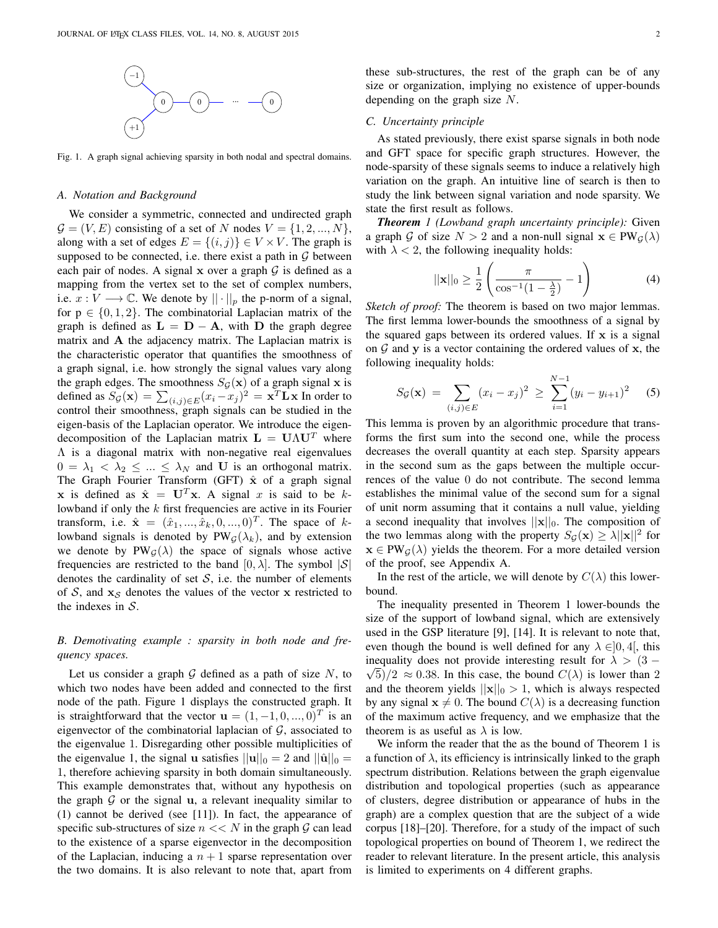

Fig. 1. A graph signal achieving sparsity in both nodal and spectral domains.

#### *A. Notation and Background*

We consider a symmetric, connected and undirected graph  $\mathcal{G} = (V, E)$  consisting of a set of N nodes  $V = \{1, 2, ..., N\},\$ along with a set of edges  $E = \{(i, j)\}\in V\times V$ . The graph is supposed to be connected, i.e. there exist a path in  $G$  between each pair of nodes. A signal  $x$  over a graph  $G$  is defined as a mapping from the vertex set to the set of complex numbers, i.e.  $x: V \longrightarrow \mathbb{C}$ . We denote by  $|| \cdot ||_p$  the p-norm of a signal, for  $p \in \{0, 1, 2\}$ . The combinatorial Laplacian matrix of the graph is defined as  $L = D - A$ , with D the graph degree matrix and A the adjacency matrix. The Laplacian matrix is the characteristic operator that quantifies the smoothness of a graph signal, i.e. how strongly the signal values vary along the graph edges. The smoothness  $S_{\mathcal{G}}(\mathbf{x})$  of a graph signal x is defined as  $S_{\mathcal{G}}(\mathbf{x}) = \sum_{(i,j) \in E} (x_i - x_j)^2 = \mathbf{x}^T \mathbf{L} \mathbf{x}$  In order to control their smoothness, graph signals can be studied in the eigen-basis of the Laplacian operator. We introduce the eigendecomposition of the Laplacian matrix  $L = U \Lambda U^{T}$  where  $\Lambda$  is a diagonal matrix with non-negative real eigenvalues  $0 = \lambda_1 < \lambda_2 \leq ... \leq \lambda_N$  and U is an orthogonal matrix. The Graph Fourier Transform (GFT)  $\hat{x}$  of a graph signal x is defined as  $\hat{\mathbf{x}} = \mathbf{U}^T \mathbf{x}$ . A signal x is said to be klowband if only the  $k$  first frequencies are active in its Fourier transform, i.e.  $\hat{\mathbf{x}} = (\hat{x}_1, ..., \hat{x}_k, 0, ..., 0)^T$ . The space of klowband signals is denoted by  $PW_G(\lambda_k)$ , and by extension we denote by  $PW_G(\lambda)$  the space of signals whose active frequencies are restricted to the band  $[0, \lambda]$ . The symbol  $|S|$ denotes the cardinality of set  $S$ , i.e. the number of elements of S, and  $x_S$  denotes the values of the vector x restricted to the indexes in  $S$ .

# *B. Demotivating example : sparsity in both node and frequency spaces.*

Let us consider a graph  $G$  defined as a path of size N, to which two nodes have been added and connected to the first node of the path. Figure 1 displays the constructed graph. It is straightforward that the vector  $\mathbf{u} = (1, -1, 0, ..., 0)^T$  is an eigenvector of the combinatorial laplacian of  $G$ , associated to the eigenvalue 1. Disregarding other possible multiplicities of the eigenvalue 1, the signal u satisfies  $||\mathbf{u}||_0 = 2$  and  $||\hat{\mathbf{u}}||_0 =$ 1, therefore achieving sparsity in both domain simultaneously. This example demonstrates that, without any hypothesis on the graph  $G$  or the signal  $u$ , a relevant inequality similar to (1) cannot be derived (see [11]). In fact, the appearance of specific sub-structures of size  $n \ll N$  in the graph G can lead to the existence of a sparse eigenvector in the decomposition of the Laplacian, inducing a  $n + 1$  sparse representation over the two domains. It is also relevant to note that, apart from these sub-structures, the rest of the graph can be of any size or organization, implying no existence of upper-bounds depending on the graph size N.

#### *C. Uncertainty principle*

As stated previously, there exist sparse signals in both node and GFT space for specific graph structures. However, the node-sparsity of these signals seems to induce a relatively high variation on the graph. An intuitive line of search is then to study the link between signal variation and node sparsity. We state the first result as follows.

*Theorem 1 (Lowband graph uncertainty principle):* Given a graph G of size  $N > 2$  and a non-null signal  $x \in PW_G(\lambda)$ with  $\lambda < 2$ , the following inequality holds:

$$
||\mathbf{x}||_0 \ge \frac{1}{2} \left( \frac{\pi}{\cos^{-1}(1 - \frac{\lambda}{2})} - 1 \right) \tag{4}
$$

*Sketch of proof:* The theorem is based on two major lemmas. The first lemma lower-bounds the smoothness of a signal by the squared gaps between its ordered values. If  $x$  is a signal on  $G$  and  $y$  is a vector containing the ordered values of  $x$ , the following inequality holds:

$$
S_{\mathcal{G}}(\mathbf{x}) = \sum_{(i,j) \in E} (x_i - x_j)^2 \ge \sum_{i=1}^{N-1} (y_i - y_{i+1})^2 \quad (5)
$$

This lemma is proven by an algorithmic procedure that transforms the first sum into the second one, while the process decreases the overall quantity at each step. Sparsity appears in the second sum as the gaps between the multiple occurrences of the value 0 do not contribute. The second lemma establishes the minimal value of the second sum for a signal of unit norm assuming that it contains a null value, yielding a second inequality that involves  $||\mathbf{x}||_0$ . The composition of the two lemmas along with the property  $S_{\mathcal{G}}(\mathbf{x}) \geq \lambda ||\mathbf{x}||^2$  for  $x \in PW_G(\lambda)$  yields the theorem. For a more detailed version of the proof, see Appendix A.

In the rest of the article, we will denote by  $C(\lambda)$  this lowerbound.

The inequality presented in Theorem 1 lower-bounds the size of the support of lowband signal, which are extensively used in the GSP literature [9], [14]. It is relevant to note that, even though the bound is well defined for any  $\lambda \in ]0, 4[$ , this inequality does not provide interesting result for  $\lambda > (3 - \sqrt{2})$  $\sqrt{5}/2 \approx 0.38$ . In this case, the bound  $C(\lambda)$  is lower than 2 and the theorem yields  $||\mathbf{x}||_0 > 1$ , which is always respected by any signal  $x \neq 0$ . The bound  $C(\lambda)$  is a decreasing function of the maximum active frequency, and we emphasize that the theorem is as useful as  $\lambda$  is low.

We inform the reader that the as the bound of Theorem 1 is a function of  $\lambda$ , its efficiency is intrinsically linked to the graph spectrum distribution. Relations between the graph eigenvalue distribution and topological properties (such as appearance of clusters, degree distribution or appearance of hubs in the graph) are a complex question that are the subject of a wide corpus [18]–[20]. Therefore, for a study of the impact of such topological properties on bound of Theorem 1, we redirect the reader to relevant literature. In the present article, this analysis is limited to experiments on 4 different graphs.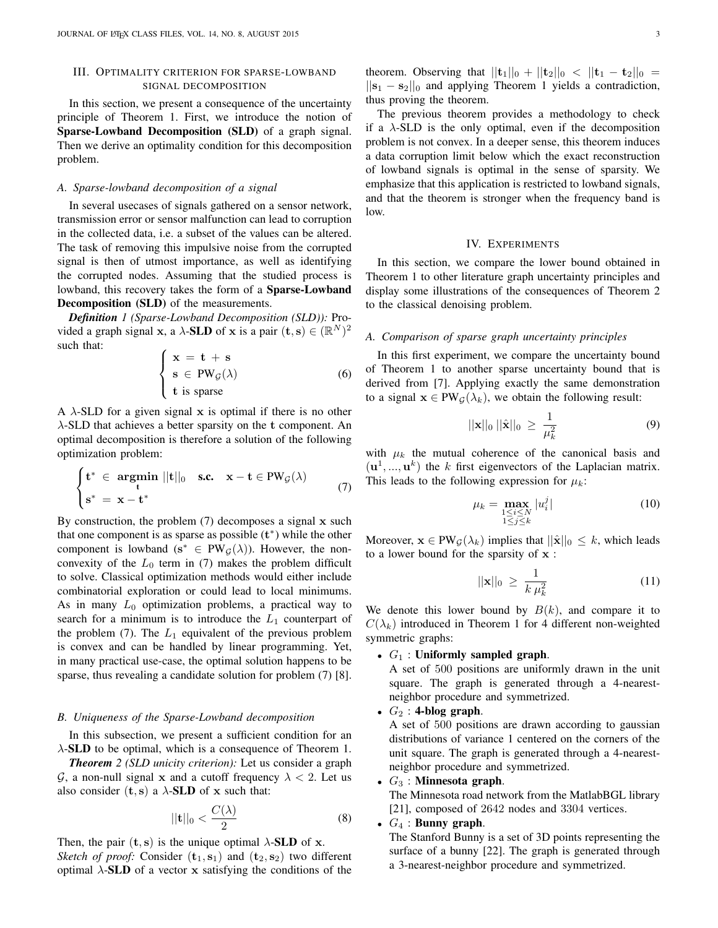## III. OPTIMALITY CRITERION FOR SPARSE-LOWBAND SIGNAL DECOMPOSITION

In this section, we present a consequence of the uncertainty principle of Theorem 1. First, we introduce the notion of Sparse-Lowband Decomposition (SLD) of a graph signal. Then we derive an optimality condition for this decomposition problem.

#### *A. Sparse-lowband decomposition of a signal*

In several usecases of signals gathered on a sensor network, transmission error or sensor malfunction can lead to corruption in the collected data, i.e. a subset of the values can be altered. The task of removing this impulsive noise from the corrupted signal is then of utmost importance, as well as identifying the corrupted nodes. Assuming that the studied process is lowband, this recovery takes the form of a Sparse-Lowband Decomposition (SLD) of the measurements.

*Definition 1 (Sparse-Lowband Decomposition (SLD)):* Provided a graph signal x, a  $\lambda$ -SLD of x is a pair  $(\mathbf{t}, \mathbf{s}) \in (\mathbb{R}^N)^2$ such that:

$$
\begin{cases}\n\mathbf{x} = \mathbf{t} + \mathbf{s} \\
\mathbf{s} \in PW_{\mathcal{G}}(\lambda) \\
\mathbf{t} \text{ is sparse}\n\end{cases}
$$
\n(6)

A  $\lambda$ -SLD for a given signal x is optimal if there is no other  $\lambda$ -SLD that achieves a better sparsity on the t component. An optimal decomposition is therefore a solution of the following optimization problem:

$$
\begin{cases} \mathbf{t}^* \in \operatorname*{argmin}_{\mathbf{t}} ||\mathbf{t}||_0 & \text{s.c.} \quad \mathbf{x} - \mathbf{t} \in PW_{\mathcal{G}}(\lambda) \\ \mathbf{s}^* = \mathbf{x} - \mathbf{t}^* \end{cases} \tag{7}
$$

By construction, the problem  $(7)$  decomposes a signal x such that one component is as sparse as possible  $(t^*)$  while the other component is lowband ( $s^* \in PW_G(\lambda)$ ). However, the nonconvexity of the  $L_0$  term in (7) makes the problem difficult to solve. Classical optimization methods would either include combinatorial exploration or could lead to local minimums. As in many  $L_0$  optimization problems, a practical way to search for a minimum is to introduce the  $L_1$  counterpart of the problem  $(7)$ . The  $L_1$  equivalent of the previous problem is convex and can be handled by linear programming. Yet, in many practical use-case, the optimal solution happens to be sparse, thus revealing a candidate solution for problem  $(7)$  [8].

### *B. Uniqueness of the Sparse-Lowband decomposition*

In this subsection, we present a sufficient condition for an  $\lambda$ -SLD to be optimal, which is a consequence of Theorem 1.

*Theorem 2 (SLD unicity criterion):* Let us consider a graph  $\mathcal{G}$ , a non-null signal x and a cutoff frequency  $\lambda < 2$ . Let us also consider  $(t, s)$  a  $\lambda$ -**SLD** of x such that:

$$
||\mathbf{t}||_0 < \frac{C(\lambda)}{2} \tag{8}
$$

Then, the pair  $(t, s)$  is the unique optimal  $\lambda$ -**SLD** of x.

*Sketch of proof:* Consider  $(t_1, s_1)$  and  $(t_2, s_2)$  two different optimal  $\lambda$ -SLD of a vector x satisfying the conditions of the

theorem. Observing that  $||{\bf t}_1||_0 + ||{\bf t}_2||_0 < ||{\bf t}_1 - {\bf t}_2||_0 =$  $||\mathbf{s}_1 - \mathbf{s}_2||_0$  and applying Theorem 1 yields a contradiction, thus proving the theorem.

The previous theorem provides a methodology to check if a  $\lambda$ -SLD is the only optimal, even if the decomposition problem is not convex. In a deeper sense, this theorem induces a data corruption limit below which the exact reconstruction of lowband signals is optimal in the sense of sparsity. We emphasize that this application is restricted to lowband signals, and that the theorem is stronger when the frequency band is low.

#### IV. EXPERIMENTS

In this section, we compare the lower bound obtained in Theorem 1 to other literature graph uncertainty principles and display some illustrations of the consequences of Theorem 2 to the classical denoising problem.

#### *A. Comparison of sparse graph uncertainty principles*

In this first experiment, we compare the uncertainty bound of Theorem 1 to another sparse uncertainty bound that is derived from [7]. Applying exactly the same demonstration to a signal  $\mathbf{x} \in PW_G(\lambda_k)$ , we obtain the following result:

$$
||\mathbf{x}||_0 \, ||\hat{\mathbf{x}}||_0 \, \ge \, \frac{1}{\mu_k^2} \tag{9}
$$

with  $\mu_k$  the mutual coherence of the canonical basis and  $(\mathbf{u}^1, ..., \mathbf{u}^k)$  the k first eigenvectors of the Laplacian matrix. This leads to the following expression for  $\mu_k$ :

$$
\mu_k = \max_{\substack{1 \le i \le N \\ 1 \le j \le k}} |u_i^j| \tag{10}
$$

Moreover,  $\mathbf{x} \in PW_G(\lambda_k)$  implies that  $||\hat{\mathbf{x}}||_0 \leq k$ , which leads to a lower bound for the sparsity of x :

$$
||\mathbf{x}||_0 \ge \frac{1}{k \,\mu_k^2} \tag{11}
$$

We denote this lower bound by  $B(k)$ , and compare it to  $C(\lambda_k)$  introduced in Theorem 1 for 4 different non-weighted symmetric graphs:

•  $G_1$  : Uniformly sampled graph.

A set of 500 positions are uniformly drawn in the unit square. The graph is generated through a 4-nearestneighbor procedure and symmetrized.

•  $G_2$ : 4-blog graph.

A set of 500 positions are drawn according to gaussian distributions of variance 1 centered on the corners of the unit square. The graph is generated through a 4-nearestneighbor procedure and symmetrized.

#### •  $G_3$ : Minnesota graph.

The Minnesota road network from the MatlabBGL library [21], composed of 2642 nodes and 3304 vertices.

•  $G_4$  : Bunny graph.

The Stanford Bunny is a set of 3D points representing the surface of a bunny [22]. The graph is generated through a 3-nearest-neighbor procedure and symmetrized.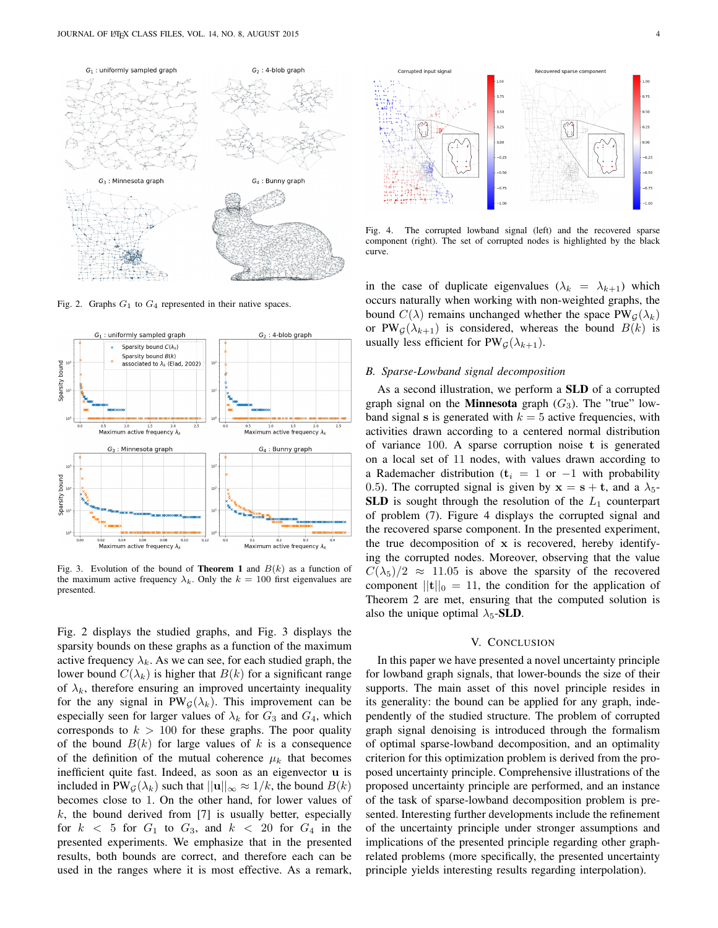

Fig. 2. Graphs  $G_1$  to  $G_4$  represented in their native spaces.



Fig. 3. Evolution of the bound of **Theorem 1** and  $B(k)$  as a function of the maximum active frequency  $\lambda_k$ . Only the  $k = 100$  first eigenvalues are presented.

Fig. 2 displays the studied graphs, and Fig. 3 displays the sparsity bounds on these graphs as a function of the maximum active frequency  $\lambda_k$ . As we can see, for each studied graph, the lower bound  $C(\lambda_k)$  is higher that  $B(k)$  for a significant range of  $\lambda_k$ , therefore ensuring an improved uncertainty inequality for the any signal in PW<sub>G</sub>( $\lambda_k$ ). This improvement can be especially seen for larger values of  $\lambda_k$  for  $G_3$  and  $G_4$ , which corresponds to  $k > 100$  for these graphs. The poor quality of the bound  $B(k)$  for large values of k is a consequence of the definition of the mutual coherence  $\mu_k$  that becomes inefficient quite fast. Indeed, as soon as an eigenvector u is included in PW<sub>G</sub>( $\lambda_k$ ) such that  $||\mathbf{u}||_{\infty} \approx 1/k$ , the bound  $B(k)$ becomes close to 1. On the other hand, for lower values of  $k$ , the bound derived from [7] is usually better, especially for  $k < 5$  for  $G_1$  to  $G_3$ , and  $k < 20$  for  $G_4$  in the presented experiments. We emphasize that in the presented results, both bounds are correct, and therefore each can be used in the ranges where it is most effective. As a remark,



Fig. 4. The corrupted lowband signal (left) and the recovered sparse component (right). The set of corrupted nodes is highlighted by the black curve.

in the case of duplicate eigenvalues ( $\lambda_k = \lambda_{k+1}$ ) which occurs naturally when working with non-weighted graphs, the bound  $C(\lambda)$  remains unchanged whether the space PW<sub>G</sub>( $\lambda_k$ ) or PW<sub>G</sub>( $\lambda_{k+1}$ ) is considered, whereas the bound  $B(k)$  is usually less efficient for  $PW_G(\lambda_{k+1})$ .

#### *B. Sparse-Lowband signal decomposition*

As a second illustration, we perform a **SLD** of a corrupted graph signal on the **Minnesota** graph  $(G_3)$ . The "true" lowband signal s is generated with  $k = 5$  active frequencies, with activities drawn according to a centered normal distribution of variance  $100$ . A sparse corruption noise t is generated on a local set of 11 nodes, with values drawn according to a Rademacher distribution ( $t_i = 1$  or  $-1$  with probability 0.5). The corrupted signal is given by  $x = s + t$ , and a  $\lambda_5$ -SLD is sought through the resolution of the  $L_1$  counterpart of problem (7). Figure 4 displays the corrupted signal and the recovered sparse component. In the presented experiment, the true decomposition of x is recovered, hereby identifying the corrupted nodes. Moreover, observing that the value  $C(\lambda_5)/2 \approx 11.05$  is above the sparsity of the recovered component  $||{\bf t}||_0 = 11$ , the condition for the application of Theorem 2 are met, ensuring that the computed solution is also the unique optimal  $\lambda_5$ -**SLD**.

#### V. CONCLUSION

In this paper we have presented a novel uncertainty principle for lowband graph signals, that lower-bounds the size of their supports. The main asset of this novel principle resides in its generality: the bound can be applied for any graph, independently of the studied structure. The problem of corrupted graph signal denoising is introduced through the formalism of optimal sparse-lowband decomposition, and an optimality criterion for this optimization problem is derived from the proposed uncertainty principle. Comprehensive illustrations of the proposed uncertainty principle are performed, and an instance of the task of sparse-lowband decomposition problem is presented. Interesting further developments include the refinement of the uncertainty principle under stronger assumptions and implications of the presented principle regarding other graphrelated problems (more specifically, the presented uncertainty principle yields interesting results regarding interpolation).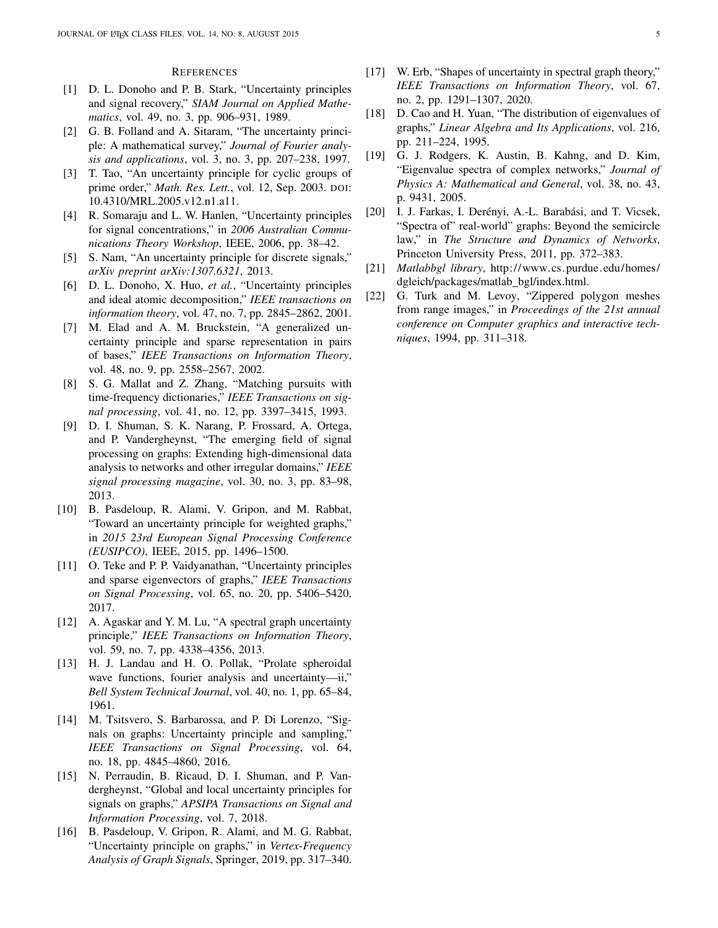#### **REFERENCES**

- [1] D. L. Donoho and P. B. Stark, "Uncertainty principles and signal recovery," *SIAM Journal on Applied Mathematics*, vol. 49, no. 3, pp. 906–931, 1989.
- [2] G. B. Folland and A. Sitaram, "The uncertainty principle: A mathematical survey," *Journal of Fourier analysis and applications*, vol. 3, no. 3, pp. 207–238, 1997.
- [3] T. Tao, "An uncertainty principle for cyclic groups of prime order," *Math. Res. Lett.*, vol. 12, Sep. 2003. DOI: 10.4310/MRL.2005.v12.n1.a11.
- [4] R. Somaraju and L. W. Hanlen, "Uncertainty principles for signal concentrations," in *2006 Australian Communications Theory Workshop*, IEEE, 2006, pp. 38–42.
- [5] S. Nam, "An uncertainty principle for discrete signals," *arXiv preprint arXiv:1307.6321*, 2013.
- [6] D. L. Donoho, X. Huo, *et al.*, "Uncertainty principles and ideal atomic decomposition," *IEEE transactions on information theory*, vol. 47, no. 7, pp. 2845–2862, 2001.
- [7] M. Elad and A. M. Bruckstein, "A generalized uncertainty principle and sparse representation in pairs of bases," *IEEE Transactions on Information Theory*, vol. 48, no. 9, pp. 2558–2567, 2002.
- [8] S. G. Mallat and Z. Zhang, "Matching pursuits with time-frequency dictionaries," *IEEE Transactions on signal processing*, vol. 41, no. 12, pp. 3397–3415, 1993.
- [9] D. I. Shuman, S. K. Narang, P. Frossard, A. Ortega, and P. Vandergheynst, "The emerging field of signal processing on graphs: Extending high-dimensional data analysis to networks and other irregular domains," *IEEE signal processing magazine*, vol. 30, no. 3, pp. 83–98, 2013.
- [10] B. Pasdeloup, R. Alami, V. Gripon, and M. Rabbat, "Toward an uncertainty principle for weighted graphs," in *2015 23rd European Signal Processing Conference (EUSIPCO)*, IEEE, 2015, pp. 1496–1500.
- [11] O. Teke and P. P. Vaidyanathan, "Uncertainty principles and sparse eigenvectors of graphs," *IEEE Transactions on Signal Processing*, vol. 65, no. 20, pp. 5406–5420, 2017.
- [12] A. Agaskar and Y. M. Lu, "A spectral graph uncertainty principle," *IEEE Transactions on Information Theory*, vol. 59, no. 7, pp. 4338–4356, 2013.
- [13] H. J. Landau and H. O. Pollak, "Prolate spheroidal wave functions, fourier analysis and uncertainty-ii," *Bell System Technical Journal*, vol. 40, no. 1, pp. 65–84, 1961.
- [14] M. Tsitsvero, S. Barbarossa, and P. Di Lorenzo, "Signals on graphs: Uncertainty principle and sampling," *IEEE Transactions on Signal Processing*, vol. 64, no. 18, pp. 4845–4860, 2016.
- [15] N. Perraudin, B. Ricaud, D. I. Shuman, and P. Vandergheynst, "Global and local uncertainty principles for signals on graphs," *APSIPA Transactions on Signal and Information Processing*, vol. 7, 2018.
- [16] B. Pasdeloup, V. Gripon, R. Alami, and M. G. Rabbat, "Uncertainty principle on graphs," in *Vertex-Frequency Analysis of Graph Signals*, Springer, 2019, pp. 317–340.
- [17] W. Erb, "Shapes of uncertainty in spectral graph theory," *IEEE Transactions on Information Theory*, vol. 67, no. 2, pp. 1291–1307, 2020.
- [18] D. Cao and H. Yuan, "The distribution of eigenvalues of graphs," *Linear Algebra and Its Applications*, vol. 216, pp. 211–224, 1995.
- [19] G. J. Rodgers, K. Austin, B. Kahng, and D. Kim, "Eigenvalue spectra of complex networks," *Journal of Physics A: Mathematical and General*, vol. 38, no. 43, p. 9431, 2005.
- [20] I. J. Farkas, I. Derényi, A.-L. Barabási, and T. Vicsek, "Spectra of" real-world" graphs: Beyond the semicircle law," in *The Structure and Dynamics of Networks*, Princeton University Press, 2011, pp. 372–383.
- [21] *Matlabbgl library*, http://www.cs.purdue.edu/homes/ dgleich/packages/matlab bgl/index.html.
- [22] G. Turk and M. Levoy, "Zippered polygon meshes from range images," in *Proceedings of the 21st annual conference on Computer graphics and interactive techniques*, 1994, pp. 311–318.